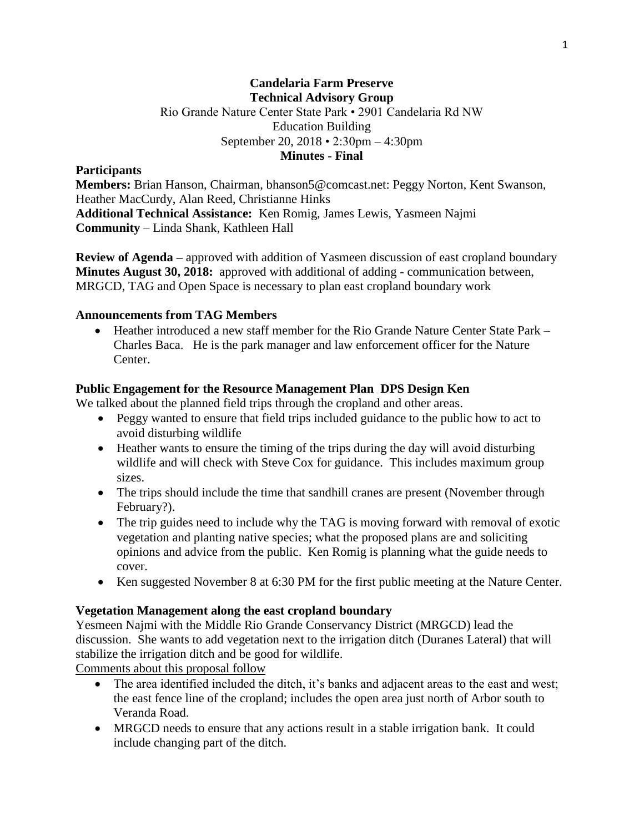# **Candelaria Farm Preserve Technical Advisory Group** Rio Grande Nature Center State Park • 2901 Candelaria Rd NW Education Building September 20, 2018 • 2:30pm – 4:30pm **Minutes - Final**

### **Participants**

**Members:** Brian Hanson, Chairman, bhanson5@comcast.net: Peggy Norton, Kent Swanson, Heather MacCurdy, Alan Reed, Christianne Hinks **Additional Technical Assistance:** Ken Romig, James Lewis, Yasmeen Najmi **Community** – Linda Shank, Kathleen Hall

**Review of Agenda –** approved with addition of Yasmeen discussion of east cropland boundary **Minutes August 30, 2018:** approved with additional of adding - communication between, MRGCD, TAG and Open Space is necessary to plan east cropland boundary work

#### **Announcements from TAG Members**

• Heather introduced a new staff member for the Rio Grande Nature Center State Park – Charles Baca. He is the park manager and law enforcement officer for the Nature Center.

### **Public Engagement for the Resource Management Plan DPS Design Ken**

We talked about the planned field trips through the cropland and other areas.

- Peggy wanted to ensure that field trips included guidance to the public how to act to avoid disturbing wildlife
- Heather wants to ensure the timing of the trips during the day will avoid disturbing wildlife and will check with Steve Cox for guidance. This includes maximum group sizes.
- The trips should include the time that sandhill cranes are present (November through February?).
- The trip guides need to include why the TAG is moving forward with removal of exotic vegetation and planting native species; what the proposed plans are and soliciting opinions and advice from the public. Ken Romig is planning what the guide needs to cover.
- Ken suggested November 8 at 6:30 PM for the first public meeting at the Nature Center.

#### **Vegetation Management along the east cropland boundary**

Yesmeen Najmi with the Middle Rio Grande Conservancy District (MRGCD) lead the discussion. She wants to add vegetation next to the irrigation ditch (Duranes Lateral) that will stabilize the irrigation ditch and be good for wildlife.

Comments about this proposal follow

- The area identified included the ditch, it's banks and adjacent areas to the east and west; the east fence line of the cropland; includes the open area just north of Arbor south to Veranda Road.
- MRGCD needs to ensure that any actions result in a stable irrigation bank. It could include changing part of the ditch.